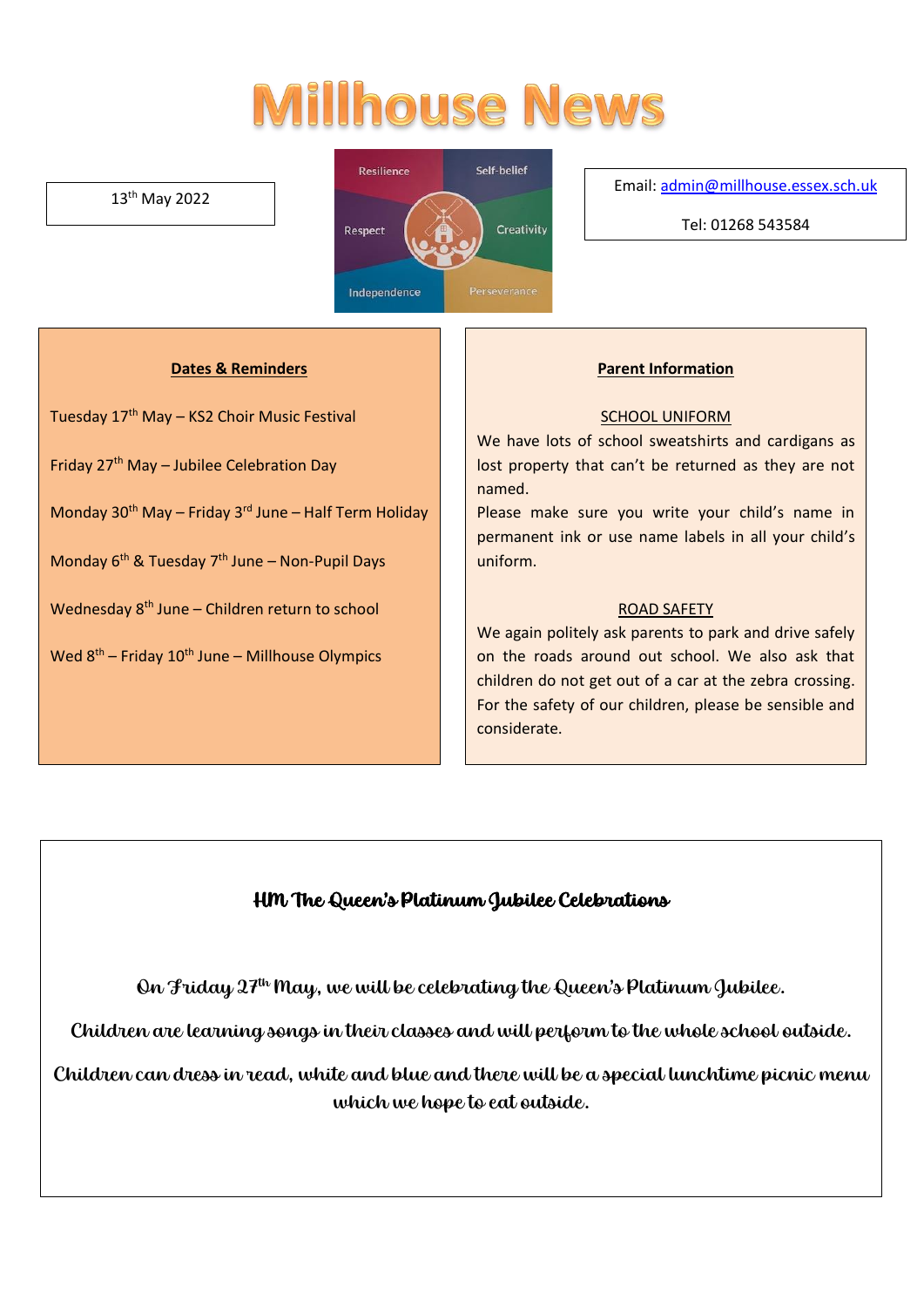# **Millhouse News**

#### 13th May 2022



Email[: admin@millhouse.essex.sch.uk](mailto:admin@millhouse.essex.sch.uk)

Tel: 01268 543584

#### **Dates & Reminders**

Tuesday 17<sup>th</sup> May - KS2 Choir Music Festival

Friday 27th May – Jubilee Celebration Day

Monday 30<sup>th</sup> May – Friday 3<sup>rd</sup> June – Half Term Holiday

Monday 6<sup>th</sup> & Tuesday 7<sup>th</sup> June – Non-Pupil Days

Wednesday 8<sup>th</sup> June – Children return to school

Wed 8<sup>th</sup> – Friday 10<sup>th</sup> June – Millhouse Olympics

#### **Parent Information**

#### SCHOOL UNIFORM

We have lots of school sweatshirts and cardigans as lost property that can't be returned as they are not named.

Please make sure you write your child's name in permanent ink or use name labels in all your child's uniform.

#### ROAD SAFETY

We again politely ask parents to park and drive safely on the roads around out school. We also ask that children do not get out of a car at the zebra crossing. For the safety of our children, please be sensible and considerate.

### HM The Queen's Platinum Jubilee Celebrations

On Friday  $27<sup>th</sup>$  May, we will be celebrating the Queen's Platinum Jubilee.

Children are learning songs in their classes and will perform to the whole school outside.

Children can dress in read, white and blue and there will be a special lunchtime picnic menu which we hope to eat outside.